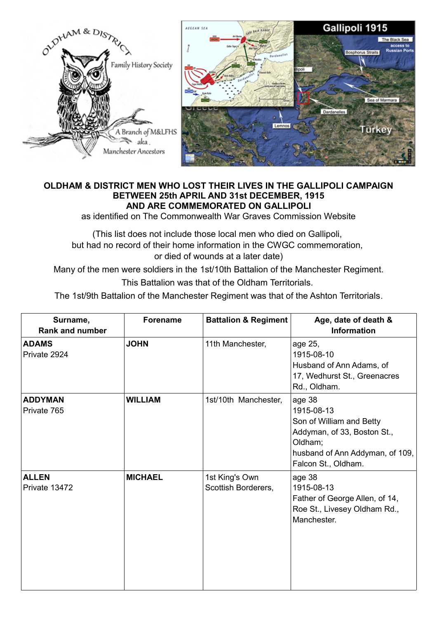

## **OLDHAM & DISTRICT MEN WHO LOST THEIR LIVES IN THE GALLIPOLI CAMPAIGN BETWEEN 25th APRIL AND 31st DECEMBER, 1915 AND ARE COMMEMORATED ON GALLIPOLI**

as identified on The Commonwealth War Graves Commission Website

(This list does not include those local men who died on Gallipoli, but had no record of their home information in the CWGC commemoration, or died of wounds at a later date)

Many of the men were soldiers in the 1st/10th Battalion of the Manchester Regiment. This Battalion was that of the Oldham Territorials.

The 1st/9th Battalion of the Manchester Regiment was that of the Ashton Territorials.

| Surname,<br><b>Rank and number</b> | <b>Forename</b> | <b>Battalion &amp; Regiment</b>       | Age, date of death &<br><b>Information</b>                                                                                                           |
|------------------------------------|-----------------|---------------------------------------|------------------------------------------------------------------------------------------------------------------------------------------------------|
| <b>ADAMS</b><br>Private 2924       | <b>JOHN</b>     | 11th Manchester,                      | age 25,<br>1915-08-10<br>Husband of Ann Adams, of<br>17, Wedhurst St., Greenacres<br>Rd., Oldham.                                                    |
| <b>ADDYMAN</b><br>Private 765      | <b>WILLIAM</b>  | 1st/10th Manchester,                  | age 38<br>1915-08-13<br>Son of William and Betty<br>Addyman, of 33, Boston St.,<br>Oldham;<br>husband of Ann Addyman, of 109,<br>Falcon St., Oldham. |
| <b>ALLEN</b><br>Private 13472      | <b>MICHAEL</b>  | 1st King's Own<br>Scottish Borderers, | age 38<br>1915-08-13<br>Father of George Allen, of 14,<br>Roe St., Livesey Oldham Rd.,<br>Manchester.                                                |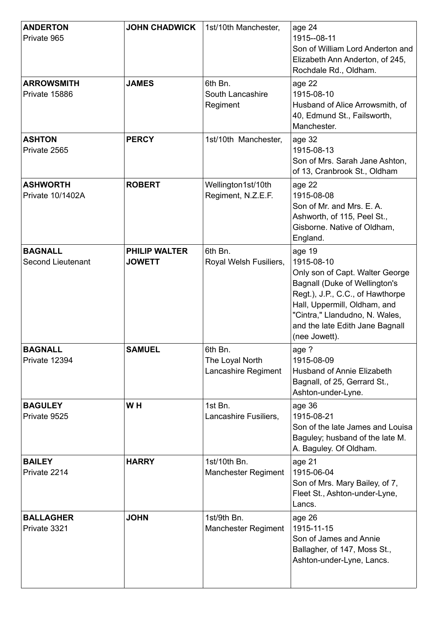| <b>ANDERTON</b><br>Private 965             | <b>JOHN CHADWICK</b>                  | 1st/10th Manchester,                              | age 24<br>1915--08-11<br>Son of William Lord Anderton and<br>Elizabeth Ann Anderton, of 245,<br>Rochdale Rd., Oldham.                                                                                                                              |
|--------------------------------------------|---------------------------------------|---------------------------------------------------|----------------------------------------------------------------------------------------------------------------------------------------------------------------------------------------------------------------------------------------------------|
| <b>ARROWSMITH</b><br>Private 15886         | <b>JAMES</b>                          | 6th Bn.<br>South Lancashire<br>Regiment           | age 22<br>1915-08-10<br>Husband of Alice Arrowsmith, of<br>40, Edmund St., Failsworth,<br>Manchester.                                                                                                                                              |
| <b>ASHTON</b><br>Private 2565              | <b>PERCY</b>                          | 1st/10th Manchester,                              | age 32<br>1915-08-13<br>Son of Mrs. Sarah Jane Ashton,<br>of 13, Cranbrook St., Oldham                                                                                                                                                             |
| <b>ASHWORTH</b><br><b>Private 10/1402A</b> | <b>ROBERT</b>                         | Wellington1st/10th<br>Regiment, N.Z.E.F.          | age 22<br>1915-08-08<br>Son of Mr. and Mrs. E. A.<br>Ashworth, of 115, Peel St.,<br>Gisborne. Native of Oldham,<br>England.                                                                                                                        |
| <b>BAGNALL</b><br><b>Second Lieutenant</b> | <b>PHILIP WALTER</b><br><b>JOWETT</b> | 6th Bn.<br>Royal Welsh Fusiliers,                 | age 19<br>1915-08-10<br>Only son of Capt. Walter George<br>Bagnall (Duke of Wellington's<br>Regt.), J.P., C.C., of Hawthorpe<br>Hall, Uppermill, Oldham, and<br>"Cintra," Llandudno, N. Wales,<br>and the late Edith Jane Bagnall<br>(nee Jowett). |
| <b>BAGNALL</b><br>Private 12394            | <b>SAMUEL</b>                         | 6th Bn.<br>The Loyal North<br>Lancashire Regiment | age ?<br>1915-08-09<br>Husband of Annie Elizabeth<br>Bagnall, of 25, Gerrard St.,<br>Ashton-under-Lyne.                                                                                                                                            |
| <b>BAGULEY</b><br>Private 9525             | W <sub>H</sub>                        | 1st Bn.<br>Lancashire Fusiliers,                  | age 36<br>1915-08-21<br>Son of the late James and Louisa<br>Baguley; husband of the late M.<br>A. Baguley. Of Oldham.                                                                                                                              |
| <b>BAILEY</b><br>Private 2214              | <b>HARRY</b>                          | 1st/10th Bn.<br><b>Manchester Regiment</b>        | age 21<br>1915-06-04<br>Son of Mrs. Mary Bailey, of 7,<br>Fleet St., Ashton-under-Lyne,<br>Lancs.                                                                                                                                                  |
| <b>BALLAGHER</b><br>Private 3321           | <b>JOHN</b>                           | 1st/9th Bn.<br><b>Manchester Regiment</b>         | age 26<br>1915-11-15<br>Son of James and Annie<br>Ballagher, of 147, Moss St.,<br>Ashton-under-Lyne, Lancs.                                                                                                                                        |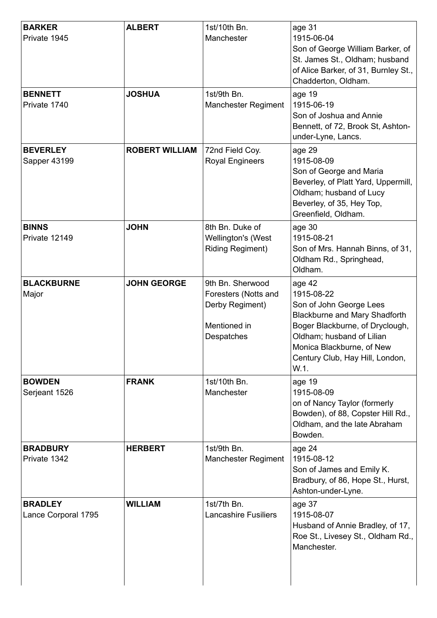| <b>BARKER</b><br>Private 1945         | <b>ALBERT</b>         | 1st/10th Bn.<br>Manchester                                                                | age 31<br>1915-06-04<br>Son of George William Barker, of<br>St. James St., Oldham; husband<br>of Alice Barker, of 31, Burnley St.,<br>Chadderton, Oldham.                                                                       |
|---------------------------------------|-----------------------|-------------------------------------------------------------------------------------------|---------------------------------------------------------------------------------------------------------------------------------------------------------------------------------------------------------------------------------|
| <b>BENNETT</b><br>Private 1740        | <b>JOSHUA</b>         | 1st/9th Bn.<br><b>Manchester Regiment</b>                                                 | age 19<br>1915-06-19<br>Son of Joshua and Annie<br>Bennett, of 72, Brook St, Ashton-<br>under-Lyne, Lancs.                                                                                                                      |
| <b>BEVERLEY</b><br>Sapper 43199       | <b>ROBERT WILLIAM</b> | 72nd Field Coy.<br><b>Royal Engineers</b>                                                 | age 29<br>1915-08-09<br>Son of George and Maria<br>Beverley, of Platt Yard, Uppermill,<br>Oldham; husband of Lucy<br>Beverley, of 35, Hey Top,<br>Greenfield, Oldham.                                                           |
| <b>BINNS</b><br>Private 12149         | <b>JOHN</b>           | 8th Bn. Duke of<br>Wellington's (West<br><b>Riding Regiment)</b>                          | age 30<br>1915-08-21<br>Son of Mrs. Hannah Binns, of 31,<br>Oldham Rd., Springhead,<br>Oldham.                                                                                                                                  |
| <b>BLACKBURNE</b><br>Major            | <b>JOHN GEORGE</b>    | 9th Bn. Sherwood<br>Foresters (Notts and<br>Derby Regiment)<br>Mentioned in<br>Despatches | age 42<br>1915-08-22<br>Son of John George Lees<br><b>Blackburne and Mary Shadforth</b><br>Boger Blackburne, of Dryclough,<br>Oldham; husband of Lilian<br>Monica Blackburne, of New<br>Century Club, Hay Hill, London,<br>W.1. |
| <b>BOWDEN</b><br>Serjeant 1526        | <b>FRANK</b>          | 1st/10th Bn.<br>Manchester                                                                | age 19<br>1915-08-09<br>on of Nancy Taylor (formerly<br>Bowden), of 88, Copster Hill Rd.,<br>Oldham, and the late Abraham<br>Bowden.                                                                                            |
| <b>BRADBURY</b><br>Private 1342       | <b>HERBERT</b>        | 1st/9th Bn.<br><b>Manchester Regiment</b>                                                 | age 24<br>1915-08-12<br>Son of James and Emily K.<br>Bradbury, of 86, Hope St., Hurst,<br>Ashton-under-Lyne.                                                                                                                    |
| <b>BRADLEY</b><br>Lance Corporal 1795 | <b>WILLIAM</b>        | 1st/7th Bn.<br><b>Lancashire Fusiliers</b>                                                | age 37<br>1915-08-07<br>Husband of Annie Bradley, of 17,<br>Roe St., Livesey St., Oldham Rd.,<br>Manchester.                                                                                                                    |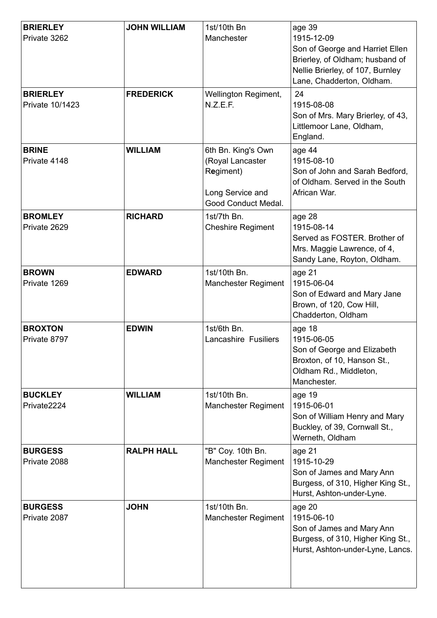| <b>BRIERLEY</b><br>Private 3262    | <b>JOHN WILLIAM</b> | 1st/10th Bn<br>Manchester                                                                      | age 39<br>1915-12-09<br>Son of George and Harriet Ellen<br>Brierley, of Oldham; husband of<br>Nellie Brierley, of 107, Burnley<br>Lane, Chadderton, Oldham. |
|------------------------------------|---------------------|------------------------------------------------------------------------------------------------|-------------------------------------------------------------------------------------------------------------------------------------------------------------|
| <b>BRIERLEY</b><br>Private 10/1423 | <b>FREDERICK</b>    | Wellington Regiment,<br>N.Z.E.F.                                                               | 24<br>1915-08-08<br>Son of Mrs. Mary Brierley, of 43,<br>Littlemoor Lane, Oldham,<br>England.                                                               |
| <b>BRINE</b><br>Private 4148       | <b>WILLIAM</b>      | 6th Bn. King's Own<br>(Royal Lancaster<br>Regiment)<br>Long Service and<br>Good Conduct Medal. | age 44<br>1915-08-10<br>Son of John and Sarah Bedford,<br>of Oldham. Served in the South<br>African War.                                                    |
| <b>BROMLEY</b><br>Private 2629     | <b>RICHARD</b>      | 1st/7th Bn.<br><b>Cheshire Regiment</b>                                                        | age 28<br>1915-08-14<br>Served as FOSTER. Brother of<br>Mrs. Maggie Lawrence, of 4,<br>Sandy Lane, Royton, Oldham.                                          |
| <b>BROWN</b><br>Private 1269       | <b>EDWARD</b>       | 1st/10th Bn.<br><b>Manchester Regiment</b>                                                     | age 21<br>1915-06-04<br>Son of Edward and Mary Jane<br>Brown, of 120, Cow Hill,<br>Chadderton, Oldham                                                       |
| <b>BROXTON</b><br>Private 8797     | <b>EDWIN</b>        | 1st/6th Bn.<br><b>Lancashire Fusiliers</b>                                                     | age 18<br>1915-06-05<br>Son of George and Elizabeth<br>Broxton, of 10, Hanson St.,<br>Oldham Rd., Middleton,<br>Manchester.                                 |
| <b>BUCKLEY</b><br>Private2224      | <b>WILLIAM</b>      | 1st/10th Bn.<br><b>Manchester Regiment</b>                                                     | age 19<br>1915-06-01<br>Son of William Henry and Mary<br>Buckley, of 39, Cornwall St.,<br>Werneth, Oldham                                                   |
| <b>BURGESS</b><br>Private 2088     | <b>RALPH HALL</b>   | "B" Coy. 10th Bn.<br><b>Manchester Regiment</b>                                                | age 21<br>1915-10-29<br>Son of James and Mary Ann<br>Burgess, of 310, Higher King St.,<br>Hurst, Ashton-under-Lyne.                                         |
| <b>BURGESS</b><br>Private 2087     | <b>JOHN</b>         | 1st/10th Bn.<br><b>Manchester Regiment</b>                                                     | age 20<br>1915-06-10<br>Son of James and Mary Ann<br>Burgess, of 310, Higher King St.,<br>Hurst, Ashton-under-Lyne, Lancs.                                  |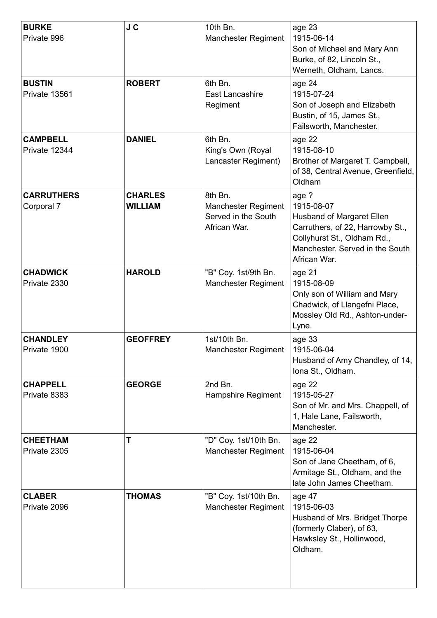| <b>BURKE</b><br>Private 996      | J C                              | 10th Bn.<br><b>Manchester Regiment</b>                                       | age 23<br>1915-06-14<br>Son of Michael and Mary Ann<br>Burke, of 82, Lincoln St.,<br>Werneth, Oldham, Lancs.                                                           |
|----------------------------------|----------------------------------|------------------------------------------------------------------------------|------------------------------------------------------------------------------------------------------------------------------------------------------------------------|
| <b>BUSTIN</b><br>Private 13561   | <b>ROBERT</b>                    | 6th Bn.<br>East Lancashire<br>Regiment                                       | age 24<br>1915-07-24<br>Son of Joseph and Elizabeth<br>Bustin, of 15, James St.,<br>Failsworth, Manchester.                                                            |
| <b>CAMPBELL</b><br>Private 12344 | <b>DANIEL</b>                    | 6th Bn.<br>King's Own (Royal<br>Lancaster Regiment)                          | age 22<br>1915-08-10<br>Brother of Margaret T. Campbell,<br>of 38, Central Avenue, Greenfield,<br>Oldham                                                               |
| <b>CARRUTHERS</b><br>Corporal 7  | <b>CHARLES</b><br><b>WILLIAM</b> | 8th Bn.<br><b>Manchester Regiment</b><br>Served in the South<br>African War. | age ?<br>1915-08-07<br>Husband of Margaret Ellen<br>Carruthers, of 22, Harrowby St.,<br>Collyhurst St., Oldham Rd.,<br>Manchester, Served in the South<br>African War. |
| <b>CHADWICK</b><br>Private 2330  | <b>HAROLD</b>                    | "B" Coy. 1st/9th Bn.<br><b>Manchester Regiment</b>                           | age 21<br>1915-08-09<br>Only son of William and Mary<br>Chadwick, of Llangefni Place,<br>Mossley Old Rd., Ashton-under-<br>Lyne.                                       |
| <b>CHANDLEY</b><br>Private 1900  | <b>GEOFFREY</b>                  | 1st/10th Bn.<br><b>Manchester Regiment</b>                                   | age 33<br>1915-06-04<br>Husband of Amy Chandley, of 14,<br>Iona St., Oldham.                                                                                           |
| <b>CHAPPELL</b><br>Private 8383  | <b>GEORGE</b>                    | 2nd Bn.<br>Hampshire Regiment                                                | age 22<br>1915-05-27<br>Son of Mr. and Mrs. Chappell, of<br>1, Hale Lane, Failsworth,<br>Manchester.                                                                   |
| <b>CHEETHAM</b><br>Private 2305  | T                                | "D" Coy. 1st/10th Bn.<br><b>Manchester Regiment</b>                          | age 22<br>1915-06-04<br>Son of Jane Cheetham, of 6,<br>Armitage St., Oldham, and the<br>late John James Cheetham.                                                      |
| <b>CLABER</b><br>Private 2096    | <b>THOMAS</b>                    | "B" Coy. 1st/10th Bn.<br><b>Manchester Regiment</b>                          | age 47<br>1915-06-03<br>Husband of Mrs. Bridget Thorpe<br>(formerly Claber), of 63,<br>Hawksley St., Hollinwood,<br>Oldham.                                            |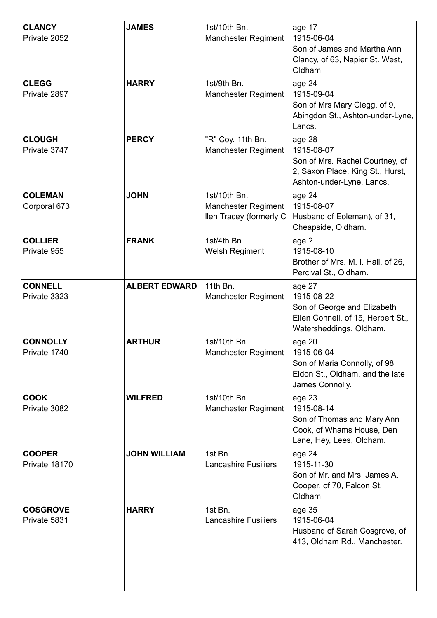| <b>CLANCY</b><br>Private 2052   | <b>JAMES</b>         | 1st/10th Bn.<br><b>Manchester Regiment</b>                            | age 17<br>1915-06-04<br>Son of James and Martha Ann<br>Clancy, of 63, Napier St. West,<br>Oldham.                        |
|---------------------------------|----------------------|-----------------------------------------------------------------------|--------------------------------------------------------------------------------------------------------------------------|
| <b>CLEGG</b><br>Private 2897    | <b>HARRY</b>         | 1st/9th Bn.<br><b>Manchester Regiment</b>                             | age 24<br>1915-09-04<br>Son of Mrs Mary Clegg, of 9,<br>Abingdon St., Ashton-under-Lyne,<br>Lancs.                       |
| <b>CLOUGH</b><br>Private 3747   | <b>PERCY</b>         | "R" Coy. 11th Bn.<br><b>Manchester Regiment</b>                       | age 28<br>1915-08-07<br>Son of Mrs. Rachel Courtney, of<br>2, Saxon Place, King St., Hurst,<br>Ashton-under-Lyne, Lancs. |
| <b>COLEMAN</b><br>Corporal 673  | <b>JOHN</b>          | 1st/10th Bn.<br><b>Manchester Regiment</b><br>llen Tracey (formerly C | age 24<br>1915-08-07<br>Husband of Eoleman), of 31,<br>Cheapside, Oldham.                                                |
| <b>COLLIER</b><br>Private 955   | <b>FRANK</b>         | 1st/4th Bn.<br><b>Welsh Regiment</b>                                  | age ?<br>1915-08-10<br>Brother of Mrs. M. I. Hall, of 26,<br>Percival St., Oldham.                                       |
| <b>CONNELL</b><br>Private 3323  | <b>ALBERT EDWARD</b> | 11th Bn.<br><b>Manchester Regiment</b>                                | age 27<br>1915-08-22<br>Son of George and Elizabeth<br>Ellen Connell, of 15, Herbert St.,<br>Watersheddings, Oldham.     |
| <b>CONNOLLY</b><br>Private 1740 | <b>ARTHUR</b>        | 1st/10th Bn.<br><b>Manchester Regiment</b>                            | age 20<br>1915-06-04<br>Son of Maria Connolly, of 98,<br>Eldon St., Oldham, and the late<br>James Connolly.              |
| <b>COOK</b><br>Private 3082     | <b>WILFRED</b>       | 1st/10th Bn.<br><b>Manchester Regiment</b>                            | age 23<br>1915-08-14<br>Son of Thomas and Mary Ann<br>Cook, of Whams House, Den<br>Lane, Hey, Lees, Oldham.              |
| <b>COOPER</b><br>Private 18170  | <b>JOHN WILLIAM</b>  | 1st Bn.<br><b>Lancashire Fusiliers</b>                                | age 24<br>1915-11-30<br>Son of Mr. and Mrs. James A.<br>Cooper, of 70, Falcon St.,<br>Oldham.                            |
| <b>COSGROVE</b><br>Private 5831 | <b>HARRY</b>         | 1st Bn.<br><b>Lancashire Fusiliers</b>                                | age 35<br>1915-06-04<br>Husband of Sarah Cosgrove, of<br>413, Oldham Rd., Manchester.                                    |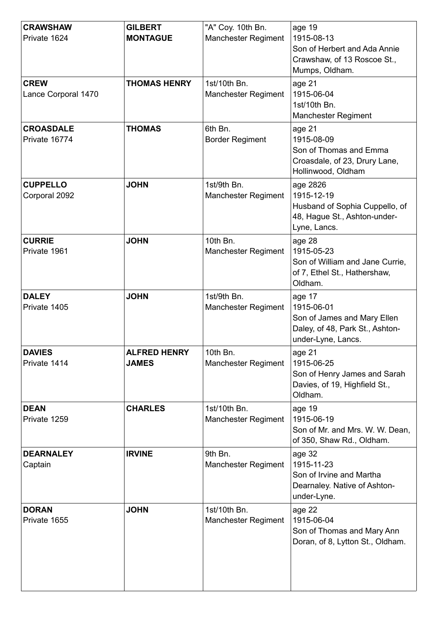| <b>CRAWSHAW</b><br>Private 1624    | <b>GILBERT</b><br><b>MONTAGUE</b>   | "A" Coy. 10th Bn.<br><b>Manchester Regiment</b> | age 19<br>1915-08-13<br>Son of Herbert and Ada Annie<br>Crawshaw, of 13 Roscoe St.,<br>Mumps, Oldham.        |
|------------------------------------|-------------------------------------|-------------------------------------------------|--------------------------------------------------------------------------------------------------------------|
| <b>CREW</b><br>Lance Corporal 1470 | <b>THOMAS HENRY</b>                 | 1st/10th Bn.<br><b>Manchester Regiment</b>      | age 21<br>1915-06-04<br>1st/10th Bn.<br><b>Manchester Regiment</b>                                           |
| <b>CROASDALE</b><br>Private 16774  | <b>THOMAS</b>                       | 6th Bn.<br><b>Border Regiment</b>               | age 21<br>1915-08-09<br>Son of Thomas and Emma<br>Croasdale, of 23, Drury Lane,<br>Hollinwood, Oldham        |
| <b>CUPPELLO</b><br>Corporal 2092   | <b>JOHN</b>                         | 1st/9th Bn.<br><b>Manchester Regiment</b>       | age 2826<br>1915-12-19<br>Husband of Sophia Cuppello, of<br>48, Hague St., Ashton-under-<br>Lyne, Lancs.     |
| <b>CURRIE</b><br>Private 1961      | <b>JOHN</b>                         | 10th Bn.<br><b>Manchester Regiment</b>          | age 28<br>1915-05-23<br>Son of William and Jane Currie,<br>of 7, Ethel St., Hathershaw,<br>Oldham.           |
| <b>DALEY</b><br>Private 1405       | <b>JOHN</b>                         | 1st/9th Bn.<br><b>Manchester Regiment</b>       | age 17<br>1915-06-01<br>Son of James and Mary Ellen<br>Daley, of 48, Park St., Ashton-<br>under-Lyne, Lancs. |
| <b>DAVIES</b><br>Private 1414      | <b>ALFRED HENRY</b><br><b>JAMES</b> | 10th Bn.<br><b>Manchester Regiment</b>          | age 21<br>1915-06-25<br>Son of Henry James and Sarah<br>Davies, of 19, Highfield St.,<br>Oldham.             |
| <b>DEAN</b><br>Private 1259        | <b>CHARLES</b>                      | 1st/10th Bn.<br><b>Manchester Regiment</b>      | age 19<br>1915-06-19<br>Son of Mr. and Mrs. W. W. Dean,<br>of 350, Shaw Rd., Oldham.                         |
| <b>DEARNALEY</b><br>Captain        | <b>IRVINE</b>                       | 9th Bn.<br><b>Manchester Regiment</b>           | age 32<br>1915-11-23<br>Son of Irvine and Martha<br>Dearnaley. Native of Ashton-<br>under-Lyne.              |
| <b>DORAN</b><br>Private 1655       | <b>JOHN</b>                         | 1st/10th Bn.<br><b>Manchester Regiment</b>      | age 22<br>1915-06-04<br>Son of Thomas and Mary Ann<br>Doran, of 8, Lytton St., Oldham.                       |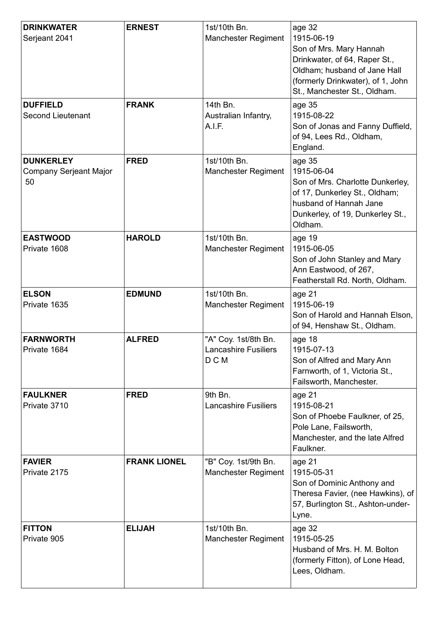| <b>DRINKWATER</b><br>Serjeant 2041                      | <b>ERNEST</b>       | 1st/10th Bn.<br><b>Manchester Regiment</b>                   | age 32<br>1915-06-19<br>Son of Mrs. Mary Hannah<br>Drinkwater, of 64, Raper St.,<br>Oldham; husband of Jane Hall<br>(formerly Drinkwater), of 1, John<br>St., Manchester St., Oldham. |
|---------------------------------------------------------|---------------------|--------------------------------------------------------------|---------------------------------------------------------------------------------------------------------------------------------------------------------------------------------------|
| <b>DUFFIELD</b><br><b>Second Lieutenant</b>             | <b>FRANK</b>        | 14th Bn.<br>Australian Infantry,<br>A.I.F.                   | age 35<br>1915-08-22<br>Son of Jonas and Fanny Duffield,<br>of 94, Lees Rd., Oldham,<br>England.                                                                                      |
| <b>DUNKERLEY</b><br><b>Company Serjeant Major</b><br>50 | <b>FRED</b>         | 1st/10th Bn.<br><b>Manchester Regiment</b>                   | age 35<br>1915-06-04<br>Son of Mrs. Charlotte Dunkerley,<br>of 17, Dunkerley St., Oldham;<br>husband of Hannah Jane<br>Dunkerley, of 19, Dunkerley St.,<br>Oldham.                    |
| <b>EASTWOOD</b><br>Private 1608                         | <b>HAROLD</b>       | 1st/10th Bn.<br><b>Manchester Regiment</b>                   | age 19<br>1915-06-05<br>Son of John Stanley and Mary<br>Ann Eastwood, of 267,<br>Featherstall Rd. North, Oldham.                                                                      |
| <b>ELSON</b><br>Private 1635                            | <b>EDMUND</b>       | 1st/10th Bn.<br><b>Manchester Regiment</b>                   | age 21<br>1915-06-19<br>Son of Harold and Hannah Elson,<br>of 94, Henshaw St., Oldham.                                                                                                |
| <b>FARNWORTH</b><br>Private 1684                        | <b>ALFRED</b>       | "A" Coy. 1st/8th Bn.<br><b>Lancashire Fusiliers</b><br>D C M | age 18<br>1915-07-13<br>Son of Alfred and Mary Ann<br>Farnworth, of 1, Victoria St.,<br>Failsworth, Manchester.                                                                       |
| <b>FAULKNER</b><br>Private 3710                         | <b>FRED</b>         | 9th Bn.<br><b>Lancashire Fusiliers</b>                       | age 21<br>1915-08-21<br>Son of Phoebe Faulkner, of 25,<br>Pole Lane, Failsworth,<br>Manchester, and the late Alfred<br>Faulkner.                                                      |
| <b>FAVIER</b><br>Private 2175                           | <b>FRANK LIONEL</b> | "B" Coy. 1st/9th Bn.<br><b>Manchester Regiment</b>           | age 21<br>1915-05-31<br>Son of Dominic Anthony and<br>Theresa Favier, (nee Hawkins), of<br>57, Burlington St., Ashton-under-<br>Lyne.                                                 |
| <b>FITTON</b><br>Private 905                            | <b>ELIJAH</b>       | 1st/10th Bn.<br>Manchester Regiment                          | age 32<br>1915-05-25<br>Husband of Mrs. H. M. Bolton<br>(formerly Fitton), of Lone Head,<br>Lees, Oldham.                                                                             |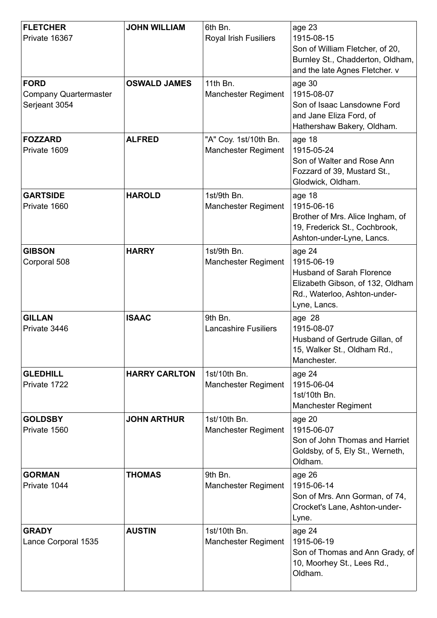| <b>FLETCHER</b><br>Private 16367                      | <b>JOHN WILLIAM</b>  | 6th Bn.<br><b>Royal Irish Fusiliers</b>             | age 23<br>1915-08-15<br>Son of William Fletcher, of 20,<br>Burnley St., Chadderton, Oldham,<br>and the late Agnes Fletcher. v                |
|-------------------------------------------------------|----------------------|-----------------------------------------------------|----------------------------------------------------------------------------------------------------------------------------------------------|
| <b>FORD</b><br>Company Quartermaster<br>Serjeant 3054 | <b>OSWALD JAMES</b>  | 11th Bn.<br><b>Manchester Regiment</b>              | age 30<br>1915-08-07<br>Son of Isaac Lansdowne Ford<br>and Jane Eliza Ford, of<br>Hathershaw Bakery, Oldham.                                 |
| <b>FOZZARD</b><br>Private 1609                        | <b>ALFRED</b>        | "A" Coy. 1st/10th Bn.<br><b>Manchester Regiment</b> | age 18<br>1915-05-24<br>Son of Walter and Rose Ann<br>Fozzard of 39, Mustard St.,<br>Glodwick, Oldham.                                       |
| <b>GARTSIDE</b><br>Private 1660                       | <b>HAROLD</b>        | 1st/9th Bn.<br><b>Manchester Regiment</b>           | age 18<br>1915-06-16<br>Brother of Mrs. Alice Ingham, of<br>19, Frederick St., Cochbrook,<br>Ashton-under-Lyne, Lancs.                       |
| <b>GIBSON</b><br>Corporal 508                         | <b>HARRY</b>         | 1st/9th Bn.<br><b>Manchester Regiment</b>           | age 24<br>1915-06-19<br><b>Husband of Sarah Florence</b><br>Elizabeth Gibson, of 132, Oldham<br>Rd., Waterloo, Ashton-under-<br>Lyne, Lancs. |
| <b>GILLAN</b><br>Private 3446                         | <b>ISAAC</b>         | 9th Bn.<br><b>Lancashire Fusiliers</b>              | age 28<br>1915-08-07<br>Husband of Gertrude Gillan, of<br>15, Walker St., Oldham Rd.,<br>Manchester.                                         |
| <b>GLEDHILL</b><br>Private 1722                       | <b>HARRY CARLTON</b> | 1st/10th Bn.<br><b>Manchester Regiment</b>          | age 24<br>1915-06-04<br>1st/10th Bn.<br><b>Manchester Regiment</b>                                                                           |
| <b>GOLDSBY</b><br>Private 1560                        | <b>JOHN ARTHUR</b>   | 1st/10th Bn.<br><b>Manchester Regiment</b>          | age 20<br>1915-06-07<br>Son of John Thomas and Harriet<br>Goldsby, of 5, Ely St., Werneth,<br>Oldham.                                        |
| <b>GORMAN</b><br>Private 1044                         | <b>THOMAS</b>        | 9th Bn.<br><b>Manchester Regiment</b>               | age 26<br>1915-06-14<br>Son of Mrs. Ann Gorman, of 74,<br>Crocket's Lane, Ashton-under-<br>Lyne.                                             |
| <b>GRADY</b><br>Lance Corporal 1535                   | <b>AUSTIN</b>        | 1st/10th Bn.<br><b>Manchester Regiment</b>          | age 24<br>1915-06-19<br>Son of Thomas and Ann Grady, of<br>10, Moorhey St., Lees Rd.,<br>Oldham.                                             |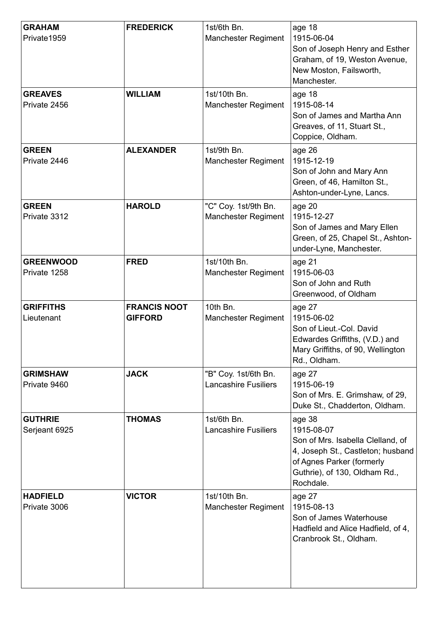| <b>GRAHAM</b><br>Private1959     | <b>FREDERICK</b>                      | 1st/6th Bn.<br><b>Manchester Regiment</b>           | age 18<br>1915-06-04<br>Son of Joseph Henry and Esther<br>Graham, of 19, Weston Avenue,<br>New Moston, Failsworth,<br>Manchester.                                         |
|----------------------------------|---------------------------------------|-----------------------------------------------------|---------------------------------------------------------------------------------------------------------------------------------------------------------------------------|
| <b>GREAVES</b><br>Private 2456   | <b>WILLIAM</b>                        | 1st/10th Bn.<br><b>Manchester Regiment</b>          | age 18<br>1915-08-14<br>Son of James and Martha Ann<br>Greaves, of 11, Stuart St.,<br>Coppice, Oldham.                                                                    |
| <b>GREEN</b><br>Private 2446     | <b>ALEXANDER</b>                      | 1st/9th Bn.<br><b>Manchester Regiment</b>           | age 26<br>1915-12-19<br>Son of John and Mary Ann<br>Green, of 46, Hamilton St.,<br>Ashton-under-Lyne, Lancs.                                                              |
| <b>GREEN</b><br>Private 3312     | <b>HAROLD</b>                         | "C" Coy. 1st/9th Bn.<br><b>Manchester Regiment</b>  | age 20<br>1915-12-27<br>Son of James and Mary Ellen<br>Green, of 25, Chapel St., Ashton-<br>under-Lyne, Manchester.                                                       |
| <b>GREENWOOD</b><br>Private 1258 | <b>FRED</b>                           | 1st/10th Bn.<br><b>Manchester Regiment</b>          | age 21<br>1915-06-03<br>Son of John and Ruth<br>Greenwood, of Oldham                                                                                                      |
| <b>GRIFFITHS</b><br>Lieutenant   | <b>FRANCIS NOOT</b><br><b>GIFFORD</b> | 10th Bn.<br><b>Manchester Regiment</b>              | age 27<br>1915-06-02<br>Son of Lieut.-Col. David<br>Edwardes Griffiths, (V.D.) and<br>Mary Griffiths, of 90, Wellington<br>Rd., Oldham.                                   |
| <b>GRIMSHAW</b><br>Private 9460  | <b>JACK</b>                           | "B" Coy. 1st/6th Bn.<br><b>Lancashire Fusiliers</b> | age 27<br>1915-06-19<br>Son of Mrs. E. Grimshaw, of 29,<br>Duke St., Chadderton, Oldham.                                                                                  |
| <b>GUTHRIE</b><br>Serjeant 6925  | <b>THOMAS</b>                         | 1st/6th Bn.<br><b>Lancashire Fusiliers</b>          | age 38<br>1915-08-07<br>Son of Mrs. Isabella Clelland, of<br>4, Joseph St., Castleton; husband<br>of Agnes Parker (formerly<br>Guthrie), of 130, Oldham Rd.,<br>Rochdale. |
| <b>HADFIELD</b><br>Private 3006  | <b>VICTOR</b>                         | 1st/10th Bn.<br><b>Manchester Regiment</b>          | age 27<br>1915-08-13<br>Son of James Waterhouse<br>Hadfield and Alice Hadfield, of 4,<br>Cranbrook St., Oldham.                                                           |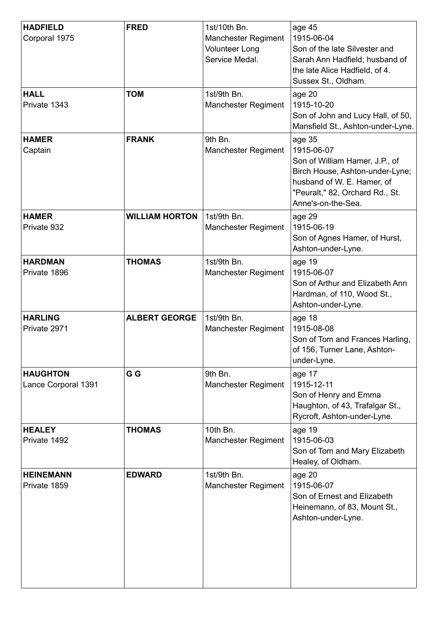| <b>HADFIELD</b><br>Corporal 1975       | <b>FRED</b>           | 1st/10th Bn.<br><b>Manchester Regiment</b><br><b>Volunteer Long</b><br>Service Medal. | age 45<br>1915-06-04<br>Son of the late Silvester and<br>Sarah Ann Hadfield; husband of<br>the late Alice Hadfield, of 4.<br>Sussex St., Oldham.                                 |
|----------------------------------------|-----------------------|---------------------------------------------------------------------------------------|----------------------------------------------------------------------------------------------------------------------------------------------------------------------------------|
| <b>HALL</b><br>Private 1343            | <b>TOM</b>            | 1st/9th Bn.<br><b>Manchester Regiment</b>                                             | age 20<br>1915-10-20<br>Son of John and Lucy Hall, of 50,<br>Mansfield St., Ashton-under-Lyne.                                                                                   |
| <b>HAMER</b><br>Captain                | <b>FRANK</b>          | 9th Bn.<br><b>Manchester Regiment</b>                                                 | age 35<br>1915-06-07<br>Son of William Hamer, J.P., of<br>Birch House, Ashton-under-Lyne;<br>husband of W. E. Hamer, of<br>"Peuralt," 82, Orchard Rd., St.<br>Anne's-on-the-Sea. |
| <b>HAMER</b><br>Private 932            | <b>WILLIAM HORTON</b> | 1st/9th Bn.<br><b>Manchester Regiment</b>                                             | age 29<br>1915-06-19<br>Son of Agnes Hamer, of Hurst,<br>Ashton-under-Lyne.                                                                                                      |
| <b>HARDMAN</b><br>Private 1896         | <b>THOMAS</b>         | 1st/9th Bn.<br><b>Manchester Regiment</b>                                             | age 19<br>1915-06-07<br>Son of Arthur and Elizabeth Ann<br>Hardman, of 110, Wood St.,<br>Ashton-under-Lyne.                                                                      |
| <b>HARLING</b><br>Private 2971         | <b>ALBERT GEORGE</b>  | 1st/9th Bn.<br><b>Manchester Regiment</b>                                             | age 18<br>1915-08-08<br>Son of Tom and Frances Harling,<br>of 156, Turner Lane, Ashton-<br>under-Lyne.                                                                           |
| <b>HAUGHTON</b><br>Lance Corporal 1391 | G G                   | 9th Bn.<br><b>Manchester Regiment</b>                                                 | age 17<br>1915-12-11<br>Son of Henry and Emma<br>Haughton, of 43, Trafalgar St.,<br>Rycroft, Ashton-under-Lyne.                                                                  |
| <b>HEALEY</b><br>Private 1492          | <b>THOMAS</b>         | 10th Bn.<br><b>Manchester Regiment</b>                                                | age 19<br>1915-06-03<br>Son of Tom and Mary Elizabeth<br>Healey, of Oldham.                                                                                                      |
| <b>HEINEMANN</b><br>Private 1859       | <b>EDWARD</b>         | 1st/9th Bn.<br><b>Manchester Regiment</b>                                             | age 20<br>1915-06-07<br>Son of Ernest and Elizabeth<br>Heinemann, of 83, Mount St.,<br>Ashton-under-Lyne.                                                                        |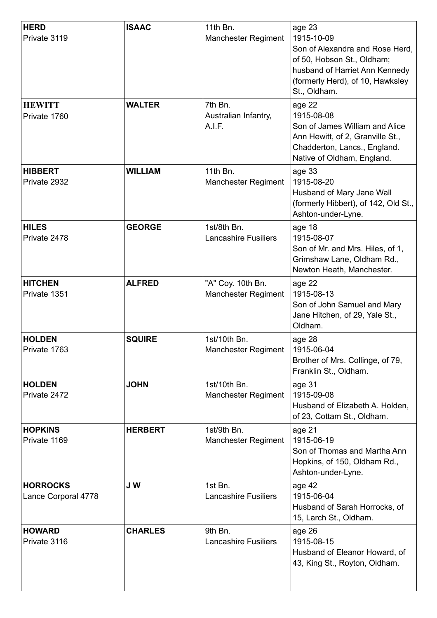| <b>HERD</b><br>Private 3119            | <b>ISAAC</b>   | 11th Bn.<br><b>Manchester Regiment</b>          | age 23<br>1915-10-09<br>Son of Alexandra and Rose Herd,<br>of 50, Hobson St., Oldham;<br>husband of Harriet Ann Kennedy<br>(formerly Herd), of 10, Hawksley<br>St., Oldham. |
|----------------------------------------|----------------|-------------------------------------------------|-----------------------------------------------------------------------------------------------------------------------------------------------------------------------------|
| <b>HEWITT</b><br>Private 1760          | <b>WALTER</b>  | 7th Bn.<br>Australian Infantry,<br>A.I.F.       | age 22<br>1915-08-08<br>Son of James William and Alice<br>Ann Hewitt, of 2, Granville St.,<br>Chadderton, Lancs., England.<br>Native of Oldham, England.                    |
| <b>HIBBERT</b><br>Private 2932         | <b>WILLIAM</b> | 11th Bn.<br><b>Manchester Regiment</b>          | age 33<br>1915-08-20<br>Husband of Mary Jane Wall<br>(formerly Hibbert), of 142, Old St.,<br>Ashton-under-Lyne.                                                             |
| <b>HILES</b><br>Private 2478           | <b>GEORGE</b>  | 1st/8th Bn.<br><b>Lancashire Fusiliers</b>      | age 18<br>1915-08-07<br>Son of Mr. and Mrs. Hiles, of 1,<br>Grimshaw Lane, Oldham Rd.,<br>Newton Heath, Manchester.                                                         |
| <b>HITCHEN</b><br>Private 1351         | <b>ALFRED</b>  | "A" Coy. 10th Bn.<br><b>Manchester Regiment</b> | age 22<br>1915-08-13<br>Son of John Samuel and Mary<br>Jane Hitchen, of 29, Yale St.,<br>Oldham.                                                                            |
| <b>HOLDEN</b><br>Private 1763          | <b>SQUIRE</b>  | 1st/10th Bn.<br><b>Manchester Regiment</b>      | age 28<br>1915-06-04<br>Brother of Mrs. Collinge, of 79,<br>Franklin St., Oldham.                                                                                           |
| <b>HOLDEN</b><br>Private 2472          | <b>JOHN</b>    | 1st/10th Bn.<br><b>Manchester Regiment</b>      | age 31<br>1915-09-08<br>Husband of Elizabeth A. Holden,<br>of 23, Cottam St., Oldham.                                                                                       |
| <b>HOPKINS</b><br>Private 1169         | <b>HERBERT</b> | 1st/9th Bn.<br><b>Manchester Regiment</b>       | age 21<br>1915-06-19<br>Son of Thomas and Martha Ann<br>Hopkins, of 150, Oldham Rd.,<br>Ashton-under-Lyne.                                                                  |
| <b>HORROCKS</b><br>Lance Corporal 4778 | J W            | 1st Bn.<br><b>Lancashire Fusiliers</b>          | age 42<br>1915-06-04<br>Husband of Sarah Horrocks, of<br>15, Larch St., Oldham.                                                                                             |
| <b>HOWARD</b><br>Private 3116          | <b>CHARLES</b> | 9th Bn.<br><b>Lancashire Fusiliers</b>          | age 26<br>1915-08-15<br>Husband of Eleanor Howard, of<br>43, King St., Royton, Oldham.                                                                                      |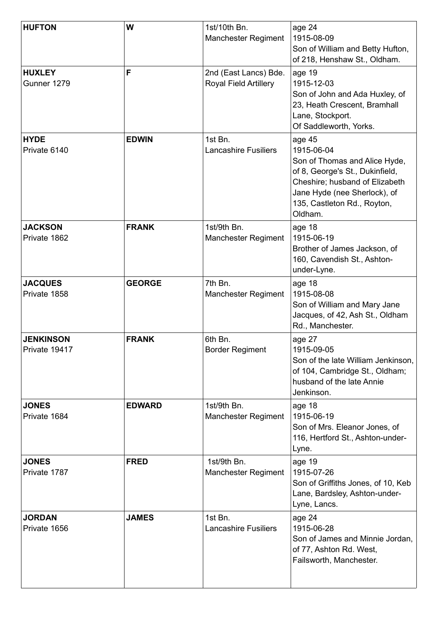| <b>HUFTON</b>                     | W             | 1st/10th Bn.<br><b>Manchester Regiment</b>            | age 24<br>1915-08-09<br>Son of William and Betty Hufton,<br>of 218, Henshaw St., Oldham.                                                                                                             |
|-----------------------------------|---------------|-------------------------------------------------------|------------------------------------------------------------------------------------------------------------------------------------------------------------------------------------------------------|
| <b>HUXLEY</b><br>Gunner 1279      | F             | 2nd (East Lancs) Bde.<br><b>Royal Field Artillery</b> | age 19<br>1915-12-03<br>Son of John and Ada Huxley, of<br>23, Heath Crescent, Bramhall<br>Lane, Stockport.<br>Of Saddleworth, Yorks.                                                                 |
| <b>HYDE</b><br>Private 6140       | <b>EDWIN</b>  | 1st Bn.<br><b>Lancashire Fusiliers</b>                | age 45<br>1915-06-04<br>Son of Thomas and Alice Hyde,<br>of 8, George's St., Dukinfield,<br>Cheshire; husband of Elizabeth<br>Jane Hyde (nee Sherlock), of<br>135, Castleton Rd., Royton,<br>Oldham. |
| <b>JACKSON</b><br>Private 1862    | <b>FRANK</b>  | 1st/9th Bn.<br><b>Manchester Regiment</b>             | age 18<br>1915-06-19<br>Brother of James Jackson, of<br>160, Cavendish St., Ashton-<br>under-Lyne.                                                                                                   |
| <b>JACQUES</b><br>Private 1858    | <b>GEORGE</b> | 7th Bn.<br><b>Manchester Regiment</b>                 | age 18<br>1915-08-08<br>Son of William and Mary Jane<br>Jacques, of 42, Ash St., Oldham<br>Rd., Manchester.                                                                                          |
| <b>JENKINSON</b><br>Private 19417 | <b>FRANK</b>  | 6th Bn.<br><b>Border Regiment</b>                     | age 27<br>1915-09-05<br>Son of the late William Jenkinson,<br>of 104, Cambridge St., Oldham;<br>husband of the late Annie<br>Jenkinson.                                                              |
| <b>JONES</b><br>Private 1684      | <b>EDWARD</b> | 1st/9th Bn.<br><b>Manchester Regiment</b>             | age 18<br>1915-06-19<br>Son of Mrs. Eleanor Jones, of<br>116, Hertford St., Ashton-under-<br>Lyne.                                                                                                   |
| <b>JONES</b><br>Private 1787      | <b>FRED</b>   | 1st/9th Bn.<br><b>Manchester Regiment</b>             | age 19<br>1915-07-26<br>Son of Griffiths Jones, of 10, Keb<br>Lane, Bardsley, Ashton-under-<br>Lyne, Lancs.                                                                                          |
| <b>JORDAN</b><br>Private 1656     | <b>JAMES</b>  | 1st Bn.<br><b>Lancashire Fusiliers</b>                | age 24<br>1915-06-28<br>Son of James and Minnie Jordan,<br>of 77, Ashton Rd. West,<br>Failsworth, Manchester.                                                                                        |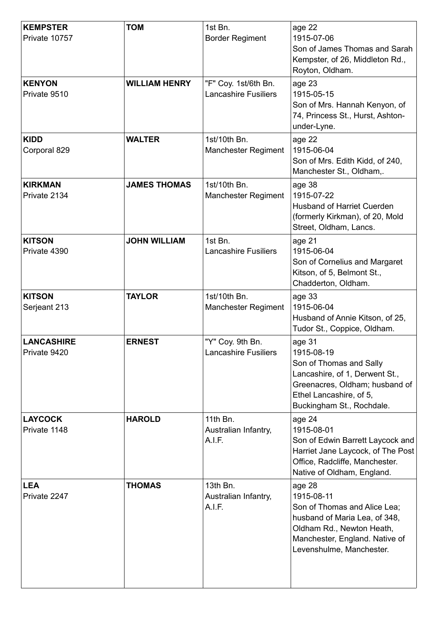| <b>KEMPSTER</b><br>Private 10757  | <b>TOM</b>           | 1st Bn.<br><b>Border Regiment</b>                   | age 22<br>1915-07-06<br>Son of James Thomas and Sarah<br>Kempster, of 26, Middleton Rd.,<br>Royton, Oldham.                                                                      |
|-----------------------------------|----------------------|-----------------------------------------------------|----------------------------------------------------------------------------------------------------------------------------------------------------------------------------------|
| <b>KENYON</b><br>Private 9510     | <b>WILLIAM HENRY</b> | "F" Coy. 1st/6th Bn.<br><b>Lancashire Fusiliers</b> | age 23<br>1915-05-15<br>Son of Mrs. Hannah Kenyon, of<br>74, Princess St., Hurst, Ashton-<br>under-Lyne.                                                                         |
| <b>KIDD</b><br>Corporal 829       | <b>WALTER</b>        | 1st/10th Bn.<br><b>Manchester Regiment</b>          | age 22<br>1915-06-04<br>Son of Mrs. Edith Kidd, of 240,<br>Manchester St., Oldham,.                                                                                              |
| <b>KIRKMAN</b><br>Private 2134    | <b>JAMES THOMAS</b>  | 1st/10th Bn.<br><b>Manchester Regiment</b>          | age 38<br>1915-07-22<br><b>Husband of Harriet Cuerden</b><br>(formerly Kirkman), of 20, Mold<br>Street, Oldham, Lancs.                                                           |
| <b>KITSON</b><br>Private 4390     | <b>JOHN WILLIAM</b>  | 1st Bn.<br><b>Lancashire Fusiliers</b>              | age 21<br>1915-06-04<br>Son of Cornelius and Margaret<br>Kitson, of 5, Belmont St.,<br>Chadderton, Oldham.                                                                       |
| <b>KITSON</b><br>Serjeant 213     | <b>TAYLOR</b>        | 1st/10th Bn.<br><b>Manchester Regiment</b>          | age 33<br>1915-06-04<br>Husband of Annie Kitson, of 25,<br>Tudor St., Coppice, Oldham.                                                                                           |
| <b>LANCASHIRE</b><br>Private 9420 | <b>ERNEST</b>        | "Y" Coy. 9th Bn.<br><b>Lancashire Fusiliers</b>     | age 31<br>1915-08-19<br>Son of Thomas and Sally<br>Lancashire, of 1, Derwent St.,<br>Greenacres, Oldham; husband of<br>Ethel Lancashire, of 5,<br>Buckingham St., Rochdale.      |
| <b>LAYCOCK</b><br>Private 1148    | <b>HAROLD</b>        | 11th Bn.<br>Australian Infantry,<br>A.I.F.          | age 24<br>1915-08-01<br>Son of Edwin Barrett Laycock and<br>Harriet Jane Laycock, of The Post<br>Office, Radcliffe, Manchester.<br>Native of Oldham, England.                    |
| <b>LEA</b><br>Private 2247        | <b>THOMAS</b>        | 13th Bn.<br>Australian Infantry,<br>A.I.F.          | age 28<br>1915-08-11<br>Son of Thomas and Alice Lea;<br>husband of Maria Lea, of 348,<br>Oldham Rd., Newton Heath,<br>Manchester, England. Native of<br>Levenshulme, Manchester. |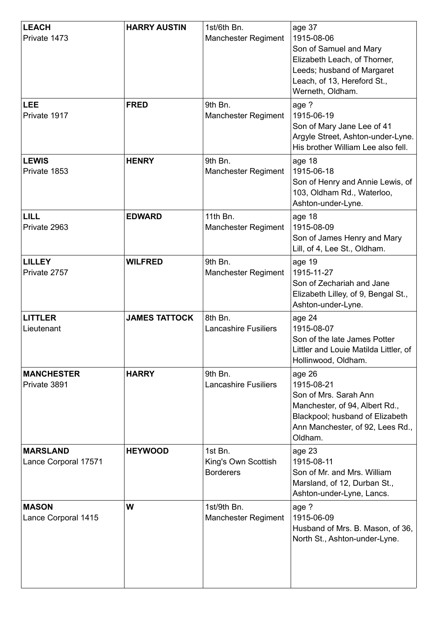| <b>LEACH</b><br>Private 1473            | <b>HARRY AUSTIN</b>  | 1st/6th Bn.<br><b>Manchester Regiment</b>          | age 37<br>1915-08-06<br>Son of Samuel and Mary<br>Elizabeth Leach, of Thorner,<br>Leeds; husband of Margaret<br>Leach, of 13, Hereford St.,<br>Werneth, Oldham.   |
|-----------------------------------------|----------------------|----------------------------------------------------|-------------------------------------------------------------------------------------------------------------------------------------------------------------------|
| <b>LEE</b><br>Private 1917              | <b>FRED</b>          | 9th Bn.<br><b>Manchester Regiment</b>              | age ?<br>1915-06-19<br>Son of Mary Jane Lee of 41<br>Argyle Street, Ashton-under-Lyne.<br>His brother William Lee also fell.                                      |
| <b>LEWIS</b><br>Private 1853            | <b>HENRY</b>         | 9th Bn.<br><b>Manchester Regiment</b>              | age 18<br>1915-06-18<br>Son of Henry and Annie Lewis, of<br>103, Oldham Rd., Waterloo,<br>Ashton-under-Lyne.                                                      |
| LILL<br>Private 2963                    | <b>EDWARD</b>        | 11th Bn.<br><b>Manchester Regiment</b>             | age 18<br>1915-08-09<br>Son of James Henry and Mary<br>Lill, of 4, Lee St., Oldham.                                                                               |
| <b>LILLEY</b><br>Private 2757           | <b>WILFRED</b>       | 9th Bn.<br><b>Manchester Regiment</b>              | age 19<br>1915-11-27<br>Son of Zechariah and Jane<br>Elizabeth Lilley, of 9, Bengal St.,<br>Ashton-under-Lyne.                                                    |
| <b>LITTLER</b><br>Lieutenant            | <b>JAMES TATTOCK</b> | 8th Bn.<br><b>Lancashire Fusiliers</b>             | age 24<br>1915-08-07<br>Son of the late James Potter<br>Littler and Louie Matilda Littler, of<br>Hollinwood, Oldham.                                              |
| <b>MANCHESTER</b><br>Private 3891       | <b>HARRY</b>         | 9th Bn.<br><b>Lancashire Fusiliers</b>             | age 26<br>1915-08-21<br>Son of Mrs. Sarah Ann<br>Manchester, of 94, Albert Rd.,<br>Blackpool; husband of Elizabeth<br>Ann Manchester, of 92, Lees Rd.,<br>Oldham. |
| <b>MARSLAND</b><br>Lance Corporal 17571 | <b>HEYWOOD</b>       | 1st Bn.<br>King's Own Scottish<br><b>Borderers</b> | age 23<br>1915-08-11<br>Son of Mr. and Mrs. William<br>Marsland, of 12, Durban St.,<br>Ashton-under-Lyne, Lancs.                                                  |
| <b>MASON</b><br>Lance Corporal 1415     | W                    | 1st/9th Bn.<br><b>Manchester Regiment</b>          | age ?<br>1915-06-09<br>Husband of Mrs. B. Mason, of 36,<br>North St., Ashton-under-Lyne.                                                                          |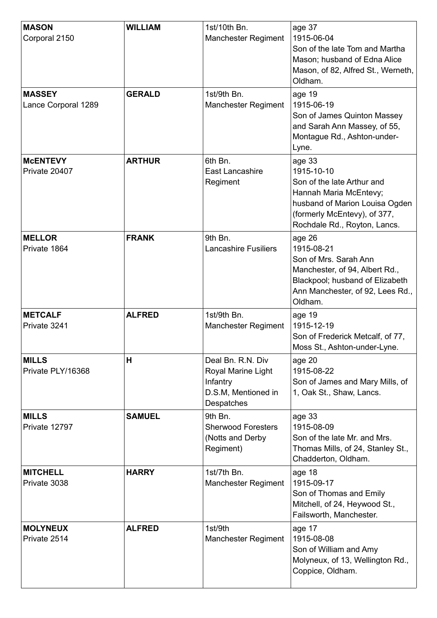| <b>MASON</b><br>Corporal 2150        | <b>WILLIAM</b> | 1st/10th Bn.<br><b>Manchester Regiment</b>                                               | age 37<br>1915-06-04<br>Son of the late Tom and Martha<br>Mason; husband of Edna Alice<br>Mason, of 82, Alfred St., Werneth,<br>Oldham.                                        |
|--------------------------------------|----------------|------------------------------------------------------------------------------------------|--------------------------------------------------------------------------------------------------------------------------------------------------------------------------------|
| <b>MASSEY</b><br>Lance Corporal 1289 | <b>GERALD</b>  | 1st/9th Bn.<br><b>Manchester Regiment</b>                                                | age 19<br>1915-06-19<br>Son of James Quinton Massey<br>and Sarah Ann Massey, of 55,<br>Montague Rd., Ashton-under-<br>Lyne.                                                    |
| <b>MCENTEVY</b><br>Private 20407     | <b>ARTHUR</b>  | 6th Bn.<br>East Lancashire<br>Regiment                                                   | age 33<br>1915-10-10<br>Son of the late Arthur and<br>Hannah Maria McEntevy;<br>husband of Marion Louisa Ogden<br>(formerly McEntevy), of 377,<br>Rochdale Rd., Royton, Lancs. |
| <b>MELLOR</b><br>Private 1864        | <b>FRANK</b>   | 9th Bn.<br><b>Lancashire Fusiliers</b>                                                   | age 26<br>1915-08-21<br>Son of Mrs. Sarah Ann<br>Manchester, of 94, Albert Rd.,<br>Blackpool; husband of Elizabeth<br>Ann Manchester, of 92, Lees Rd.,<br>Oldham.              |
| <b>METCALF</b><br>Private 3241       | <b>ALFRED</b>  | 1st/9th Bn.<br><b>Manchester Regiment</b>                                                | age 19<br>1915-12-19<br>Son of Frederick Metcalf, of 77,<br>Moss St., Ashton-under-Lyne.                                                                                       |
| <b>MILLS</b><br>Private PLY/16368    | Н              | Deal Bn. R.N. Div<br>Royal Marine Light<br>Infantry<br>D.S.M, Mentioned in<br>Despatches | age 20<br>1915-08-22<br>Son of James and Mary Mills, of<br>1, Oak St., Shaw, Lancs.                                                                                            |
| <b>MILLS</b><br>Private 12797        | <b>SAMUEL</b>  | 9th Bn.<br><b>Sherwood Foresters</b><br>(Notts and Derby<br>Regiment)                    | age 33<br>1915-08-09<br>Son of the late Mr. and Mrs.<br>Thomas Mills, of 24, Stanley St.,<br>Chadderton, Oldham.                                                               |
| <b>MITCHELL</b><br>Private 3038      | <b>HARRY</b>   | 1st/7th Bn.<br>Manchester Regiment                                                       | age 18<br>1915-09-17<br>Son of Thomas and Emily<br>Mitchell, of 24, Heywood St.,<br>Failsworth, Manchester.                                                                    |
| <b>MOLYNEUX</b><br>Private 2514      | <b>ALFRED</b>  | 1st/9th<br><b>Manchester Regiment</b>                                                    | age 17<br>1915-08-08<br>Son of William and Amy<br>Molyneux, of 13, Wellington Rd.,<br>Coppice, Oldham.                                                                         |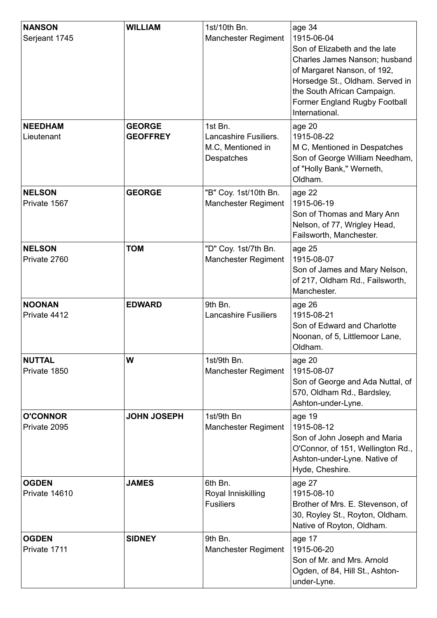| <b>NANSON</b><br>Serjeant 1745  | <b>WILLIAM</b>                   | 1st/10th Bn.<br><b>Manchester Regiment</b>                          | age 34<br>1915-06-04<br>Son of Elizabeth and the late<br>Charles James Nanson; husband<br>of Margaret Nanson, of 192,<br>Horsedge St., Oldham. Served in<br>the South African Campaign.<br>Former England Rugby Football<br>International. |
|---------------------------------|----------------------------------|---------------------------------------------------------------------|--------------------------------------------------------------------------------------------------------------------------------------------------------------------------------------------------------------------------------------------|
| <b>NEEDHAM</b><br>Lieutenant    | <b>GEORGE</b><br><b>GEOFFREY</b> | 1st Bn.<br>Lancashire Fusiliers.<br>M.C, Mentioned in<br>Despatches | age 20<br>1915-08-22<br>M C, Mentioned in Despatches<br>Son of George William Needham,<br>of "Holly Bank," Werneth,<br>Oldham.                                                                                                             |
| <b>NELSON</b><br>Private 1567   | <b>GEORGE</b>                    | "B" Coy. 1st/10th Bn.<br><b>Manchester Regiment</b>                 | age 22<br>1915-06-19<br>Son of Thomas and Mary Ann<br>Nelson, of 77, Wrigley Head,<br>Failsworth, Manchester.                                                                                                                              |
| <b>NELSON</b><br>Private 2760   | <b>TOM</b>                       | "D" Coy. 1st/7th Bn.<br><b>Manchester Regiment</b>                  | age 25<br>1915-08-07<br>Son of James and Mary Nelson,<br>of 217, Oldham Rd., Failsworth,<br>Manchester.                                                                                                                                    |
| <b>NOONAN</b><br>Private 4412   | <b>EDWARD</b>                    | 9th Bn.<br><b>Lancashire Fusiliers</b>                              | age 26<br>1915-08-21<br>Son of Edward and Charlotte<br>Noonan, of 5, Littlemoor Lane,<br>Oldham.                                                                                                                                           |
| <b>NUTTAL</b><br>Private 1850   | W                                | 1st/9th Bn.<br><b>Manchester Regiment</b>                           | age 20<br>1915-08-07<br>Son of George and Ada Nuttal, of<br>570, Oldham Rd., Bardsley,<br>Ashton-under-Lyne.                                                                                                                               |
| <b>O'CONNOR</b><br>Private 2095 | <b>JOHN JOSEPH</b>               | 1st/9th Bn<br><b>Manchester Regiment</b>                            | age 19<br>1915-08-12<br>Son of John Joseph and Maria<br>O'Connor, of 151, Wellington Rd.,<br>Ashton-under-Lyne. Native of<br>Hyde, Cheshire.                                                                                               |
| <b>OGDEN</b><br>Private 14610   | <b>JAMES</b>                     | 6th Bn.<br>Royal Inniskilling<br><b>Fusiliers</b>                   | age 27<br>1915-08-10<br>Brother of Mrs. E. Stevenson, of<br>30, Royley St., Royton, Oldham.<br>Native of Royton, Oldham.                                                                                                                   |
| <b>OGDEN</b><br>Private 1711    | <b>SIDNEY</b>                    | 9th Bn.<br><b>Manchester Regiment</b>                               | age 17<br>1915-06-20<br>Son of Mr. and Mrs. Arnold<br>Ogden, of 84, Hill St., Ashton-<br>under-Lyne.                                                                                                                                       |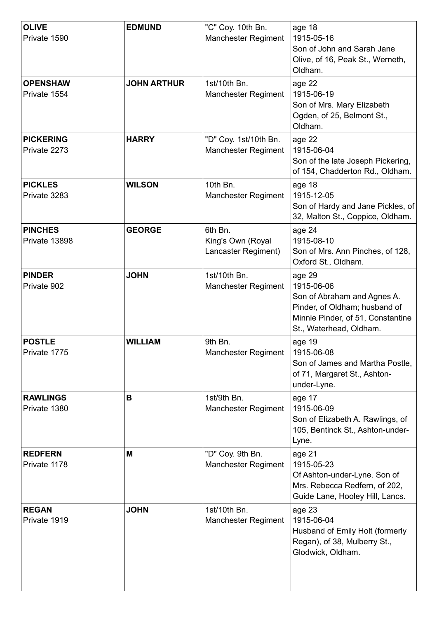| <b>OLIVE</b><br>Private 1590     | <b>EDMUND</b>      | "C" Coy. 10th Bn.<br><b>Manchester Regiment</b>     | age 18<br>1915-05-16<br>Son of John and Sarah Jane<br>Olive, of 16, Peak St., Werneth,<br>Oldham.                                                    |
|----------------------------------|--------------------|-----------------------------------------------------|------------------------------------------------------------------------------------------------------------------------------------------------------|
| <b>OPENSHAW</b><br>Private 1554  | <b>JOHN ARTHUR</b> | 1st/10th Bn.<br><b>Manchester Regiment</b>          | age 22<br>1915-06-19<br>Son of Mrs. Mary Elizabeth<br>Ogden, of 25, Belmont St.,<br>Oldham.                                                          |
| <b>PICKERING</b><br>Private 2273 | <b>HARRY</b>       | "D" Coy. 1st/10th Bn.<br><b>Manchester Regiment</b> | age 22<br>1915-06-04<br>Son of the late Joseph Pickering,<br>of 154, Chadderton Rd., Oldham.                                                         |
| <b>PICKLES</b><br>Private 3283   | <b>WILSON</b>      | 10th Bn.<br><b>Manchester Regiment</b>              | age 18<br>1915-12-05<br>Son of Hardy and Jane Pickles, of<br>32, Malton St., Coppice, Oldham.                                                        |
| <b>PINCHES</b><br>Private 13898  | <b>GEORGE</b>      | 6th Bn.<br>King's Own (Royal<br>Lancaster Regiment) | age 24<br>1915-08-10<br>Son of Mrs. Ann Pinches, of 128,<br>Oxford St., Oldham.                                                                      |
| <b>PINDER</b><br>Private 902     | <b>JOHN</b>        | 1st/10th Bn.<br><b>Manchester Regiment</b>          | age 29<br>1915-06-06<br>Son of Abraham and Agnes A.<br>Pinder, of Oldham; husband of<br>Minnie Pinder, of 51, Constantine<br>St., Waterhead, Oldham. |
| <b>POSTLE</b><br>Private 1775    | <b>WILLIAM</b>     | 9th Bn.<br><b>Manchester Regiment</b>               | age 19<br>1915-06-08<br>Son of James and Martha Postle,<br>of 71, Margaret St., Ashton-<br>under-Lyne.                                               |
| <b>RAWLINGS</b><br>Private 1380  | B                  | 1st/9th Bn.<br><b>Manchester Regiment</b>           | age 17<br>1915-06-09<br>Son of Elizabeth A. Rawlings, of<br>105, Bentinck St., Ashton-under-<br>Lyne.                                                |
| <b>REDFERN</b><br>Private 1178   | M                  | "D" Coy. 9th Bn.<br><b>Manchester Regiment</b>      | age 21<br>1915-05-23<br>Of Ashton-under-Lyne. Son of<br>Mrs. Rebecca Redfern, of 202,<br>Guide Lane, Hooley Hill, Lancs.                             |
| <b>REGAN</b><br>Private 1919     | <b>JOHN</b>        | 1st/10th Bn.<br><b>Manchester Regiment</b>          | age 23<br>1915-06-04<br>Husband of Emily Holt (formerly<br>Regan), of 38, Mulberry St.,<br>Glodwick, Oldham.                                         |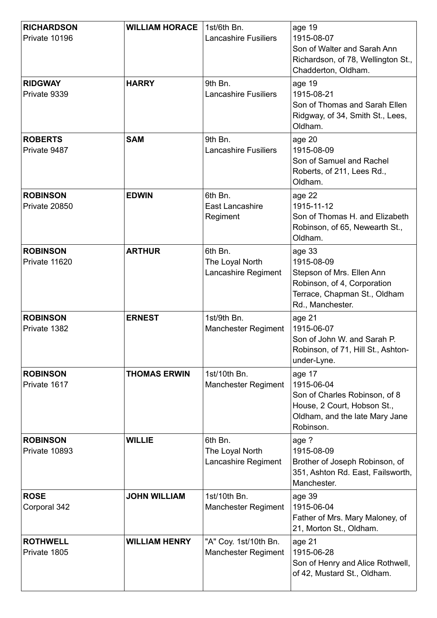| <b>RICHARDSON</b><br>Private 10196 | <b>WILLIAM HORACE</b> | 1st/6th Bn.<br><b>Lancashire Fusiliers</b>          | age 19<br>1915-08-07<br>Son of Walter and Sarah Ann<br>Richardson, of 78, Wellington St.,<br>Chadderton, Oldham.                     |
|------------------------------------|-----------------------|-----------------------------------------------------|--------------------------------------------------------------------------------------------------------------------------------------|
| <b>RIDGWAY</b><br>Private 9339     | <b>HARRY</b>          | 9th Bn.<br><b>Lancashire Fusiliers</b>              | age 19<br>1915-08-21<br>Son of Thomas and Sarah Ellen<br>Ridgway, of 34, Smith St., Lees,<br>Oldham.                                 |
| <b>ROBERTS</b><br>Private 9487     | <b>SAM</b>            | 9th Bn.<br><b>Lancashire Fusiliers</b>              | age 20<br>1915-08-09<br>Son of Samuel and Rachel<br>Roberts, of 211, Lees Rd.,<br>Oldham.                                            |
| <b>ROBINSON</b><br>Private 20850   | <b>EDWIN</b>          | 6th Bn.<br>East Lancashire<br>Regiment              | age 22<br>1915-11-12<br>Son of Thomas H. and Elizabeth<br>Robinson, of 65, Newearth St.,<br>Oldham.                                  |
| <b>ROBINSON</b><br>Private 11620   | <b>ARTHUR</b>         | 6th Bn.<br>The Loyal North<br>Lancashire Regiment   | age 33<br>1915-08-09<br>Stepson of Mrs. Ellen Ann<br>Robinson, of 4, Corporation<br>Terrace, Chapman St., Oldham<br>Rd., Manchester. |
| <b>ROBINSON</b><br>Private 1382    | <b>ERNEST</b>         | 1st/9th Bn.<br><b>Manchester Regiment</b>           | age 21<br>1915-06-07<br>Son of John W. and Sarah P.<br>Robinson, of 71, Hill St., Ashton-<br>under-Lyne.                             |
| <b>ROBINSON</b><br>Private 1617    | <b>THOMAS ERWIN</b>   | 1st/10th Bn.<br><b>Manchester Regiment</b>          | age 17<br>1915-06-04<br>Son of Charles Robinson, of 8<br>House, 2 Court, Hobson St.,<br>Oldham, and the late Mary Jane<br>Robinson.  |
| <b>ROBINSON</b><br>Private 10893   | <b>WILLIE</b>         | 6th Bn.<br>The Loyal North<br>Lancashire Regiment   | age ?<br>1915-08-09<br>Brother of Joseph Robinson, of<br>351, Ashton Rd. East, Failsworth,<br>Manchester.                            |
| <b>ROSE</b><br>Corporal 342        | <b>JOHN WILLIAM</b>   | 1st/10th Bn.<br><b>Manchester Regiment</b>          | age 39<br>1915-06-04<br>Father of Mrs. Mary Maloney, of<br>21, Morton St., Oldham.                                                   |
| <b>ROTHWELL</b><br>Private 1805    | <b>WILLIAM HENRY</b>  | "A" Coy. 1st/10th Bn.<br><b>Manchester Regiment</b> | age 21<br>1915-06-28<br>Son of Henry and Alice Rothwell,<br>of 42, Mustard St., Oldham.                                              |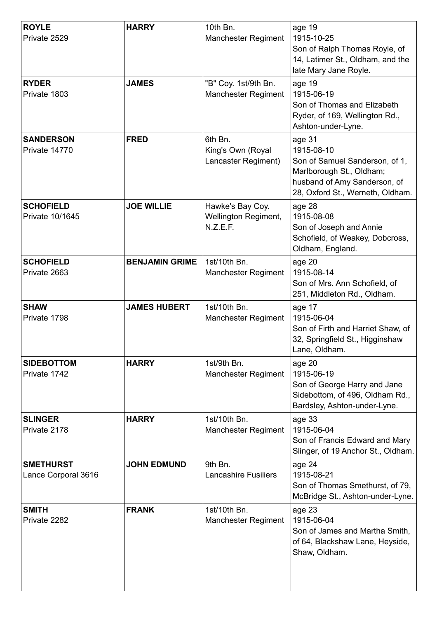| <b>ROYLE</b><br>Private 2529            | <b>HARRY</b>          | 10th Bn.<br><b>Manchester Regiment</b>               | age 19<br>1915-10-25<br>Son of Ralph Thomas Royle, of<br>14, Latimer St., Oldham, and the<br>late Mary Jane Royle.                                     |
|-----------------------------------------|-----------------------|------------------------------------------------------|--------------------------------------------------------------------------------------------------------------------------------------------------------|
| <b>RYDER</b><br>Private 1803            | <b>JAMES</b>          | "B" Coy. 1st/9th Bn.<br><b>Manchester Regiment</b>   | age 19<br>1915-06-19<br>Son of Thomas and Elizabeth<br>Ryder, of 169, Wellington Rd.,<br>Ashton-under-Lyne.                                            |
| <b>SANDERSON</b><br>Private 14770       | <b>FRED</b>           | 6th Bn.<br>King's Own (Royal<br>Lancaster Regiment)  | age 31<br>1915-08-10<br>Son of Samuel Sanderson, of 1,<br>Marlborough St., Oldham;<br>husband of Amy Sanderson, of<br>28, Oxford St., Werneth, Oldham. |
| <b>SCHOFIELD</b><br>Private 10/1645     | <b>JOE WILLIE</b>     | Hawke's Bay Coy.<br>Wellington Regiment,<br>N.Z.E.F. | age 28<br>1915-08-08<br>Son of Joseph and Annie<br>Schofield, of Weakey, Dobcross,<br>Oldham, England.                                                 |
| <b>SCHOFIELD</b><br>Private 2663        | <b>BENJAMIN GRIME</b> | 1st/10th Bn.<br><b>Manchester Regiment</b>           | age 20<br>1915-08-14<br>Son of Mrs. Ann Schofield, of<br>251, Middleton Rd., Oldham.                                                                   |
| <b>SHAW</b><br>Private 1798             | <b>JAMES HUBERT</b>   | 1st/10th Bn.<br><b>Manchester Regiment</b>           | age 17<br>1915-06-04<br>Son of Firth and Harriet Shaw, of<br>32, Springfield St., Higginshaw<br>Lane, Oldham.                                          |
| <b>SIDEBOTTOM</b><br>Private 1742       | <b>HARRY</b>          | 1st/9th Bn.<br><b>Manchester Regiment</b>            | age 20<br>1915-06-19<br>Son of George Harry and Jane<br>Sidebottom, of 496, Oldham Rd.,<br>Bardsley, Ashton-under-Lyne.                                |
| <b>SLINGER</b><br>Private 2178          | <b>HARRY</b>          | 1st/10th Bn.<br>Manchester Regiment                  | age 33<br>1915-06-04<br>Son of Francis Edward and Mary<br>Slinger, of 19 Anchor St., Oldham.                                                           |
| <b>SMETHURST</b><br>Lance Corporal 3616 | <b>JOHN EDMUND</b>    | 9th Bn.<br><b>Lancashire Fusiliers</b>               | age 24<br>1915-08-21<br>Son of Thomas Smethurst, of 79,<br>McBridge St., Ashton-under-Lyne.                                                            |
| <b>SMITH</b><br>Private 2282            | <b>FRANK</b>          | 1st/10th Bn.<br><b>Manchester Regiment</b>           | age 23<br>1915-06-04<br>Son of James and Martha Smith,<br>of 64, Blackshaw Lane, Heyside,<br>Shaw, Oldham.                                             |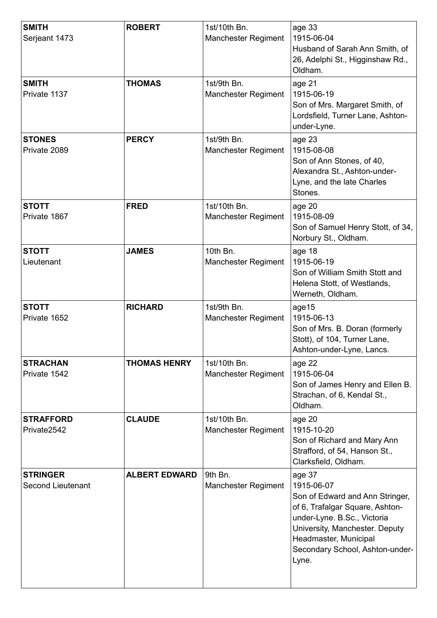| <b>SMITH</b><br>Serjeant 1473               | <b>ROBERT</b>        | 1st/10th Bn.<br><b>Manchester Regiment</b> | age 33<br>1915-06-04<br>Husband of Sarah Ann Smith, of<br>26, Adelphi St., Higginshaw Rd.,<br>Oldham.                                                                                                                            |
|---------------------------------------------|----------------------|--------------------------------------------|----------------------------------------------------------------------------------------------------------------------------------------------------------------------------------------------------------------------------------|
| <b>SMITH</b><br>Private 1137                | <b>THOMAS</b>        | 1st/9th Bn.<br><b>Manchester Regiment</b>  | age 21<br>1915-06-19<br>Son of Mrs. Margaret Smith, of<br>Lordsfield, Turner Lane, Ashton-<br>under-Lyne.                                                                                                                        |
| <b>STONES</b><br>Private 2089               | <b>PERCY</b>         | 1st/9th Bn.<br><b>Manchester Regiment</b>  | age 23<br>1915-08-08<br>Son of Ann Stones, of 40,<br>Alexandra St., Ashton-under-<br>Lyne, and the late Charles<br>Stones.                                                                                                       |
| <b>STOTT</b><br>Private 1867                | <b>FRED</b>          | 1st/10th Bn.<br><b>Manchester Regiment</b> | age 20<br>1915-08-09<br>Son of Samuel Henry Stott, of 34,<br>Norbury St., Oldham.                                                                                                                                                |
| <b>STOTT</b><br>Lieutenant                  | <b>JAMES</b>         | 10th Bn.<br><b>Manchester Regiment</b>     | age 18<br>1915-06-19<br>Son of William Smith Stott and<br>Helena Stott, of Westlands,<br>Werneth, Oldham.                                                                                                                        |
| <b>STOTT</b><br>Private 1652                | <b>RICHARD</b>       | 1st/9th Bn.<br>Manchester Regiment         | age15<br>1915-06-13<br>Son of Mrs. B. Doran (formerly<br>Stott), of 104, Turner Lane,<br>Ashton-under-Lyne, Lancs.                                                                                                               |
| <b>STRACHAN</b><br>Private 1542             | <b>THOMAS HENRY</b>  | 1st/10th Bn.<br><b>Manchester Regiment</b> | age 22<br>1915-06-04<br>Son of James Henry and Ellen B.<br>Strachan, of 6, Kendal St.,<br>Oldham.                                                                                                                                |
| <b>STRAFFORD</b><br>Private2542             | <b>CLAUDE</b>        | 1st/10th Bn.<br><b>Manchester Regiment</b> | age 20<br>1915-10-20<br>Son of Richard and Mary Ann<br>Strafford, of 54, Hanson St.,<br>Clarksfield, Oldham.                                                                                                                     |
| <b>STRINGER</b><br><b>Second Lieutenant</b> | <b>ALBERT EDWARD</b> | 9th Bn.<br><b>Manchester Regiment</b>      | age 37<br>1915-06-07<br>Son of Edward and Ann Stringer,<br>of 6, Trafalgar Square, Ashton-<br>under-Lyne. B.Sc., Victoria<br>University, Manchester. Deputy<br>Headmaster, Municipal<br>Secondary School, Ashton-under-<br>Lyne. |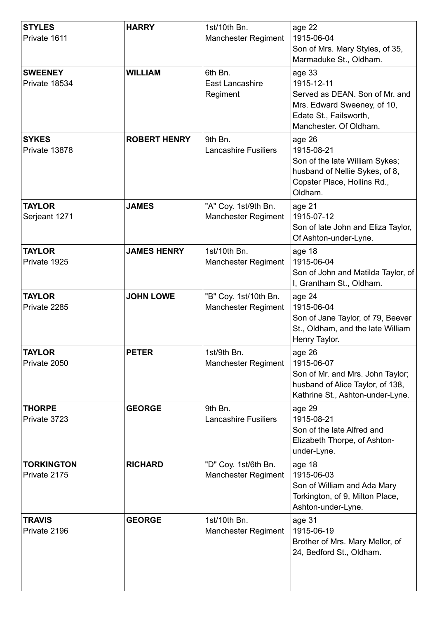| <b>STYLES</b><br>Private 1611     | <b>HARRY</b>        | 1st/10th Bn.<br><b>Manchester Regiment</b>          | age 22<br>1915-06-04<br>Son of Mrs. Mary Styles, of 35,<br>Marmaduke St., Oldham.                                                         |
|-----------------------------------|---------------------|-----------------------------------------------------|-------------------------------------------------------------------------------------------------------------------------------------------|
| <b>SWEENEY</b><br>Private 18534   | <b>WILLIAM</b>      | 6th Bn.<br><b>East Lancashire</b><br>Regiment       | age 33<br>1915-12-11<br>Served as DEAN. Son of Mr. and<br>Mrs. Edward Sweeney, of 10,<br>Edate St., Failsworth,<br>Manchester. Of Oldham. |
| <b>SYKES</b><br>Private 13878     | <b>ROBERT HENRY</b> | 9th Bn.<br><b>Lancashire Fusiliers</b>              | age 26<br>1915-08-21<br>Son of the late William Sykes;<br>husband of Nellie Sykes, of 8,<br>Copster Place, Hollins Rd.,<br>Oldham.        |
| <b>TAYLOR</b><br>Serjeant 1271    | <b>JAMES</b>        | "A" Coy. 1st/9th Bn.<br><b>Manchester Regiment</b>  | age 21<br>1915-07-12<br>Son of late John and Eliza Taylor,<br>Of Ashton-under-Lyne.                                                       |
| <b>TAYLOR</b><br>Private 1925     | <b>JAMES HENRY</b>  | 1st/10th Bn.<br><b>Manchester Regiment</b>          | age 18<br>1915-06-04<br>Son of John and Matilda Taylor, of<br>I, Grantham St., Oldham.                                                    |
| <b>TAYLOR</b><br>Private 2285     | <b>JOHN LOWE</b>    | "B" Coy. 1st/10th Bn.<br><b>Manchester Regiment</b> | age 24<br>1915-06-04<br>Son of Jane Taylor, of 79, Beever<br>St., Oldham, and the late William<br>Henry Taylor.                           |
| <b>TAYLOR</b><br>Private 2050     | <b>PETER</b>        | 1st/9th Bn.<br><b>Manchester Regiment</b>           | age 26<br>1915-06-07<br>Son of Mr. and Mrs. John Taylor;<br>husband of Alice Taylor, of 138,<br>Kathrine St., Ashton-under-Lyne.          |
| <b>THORPE</b><br>Private 3723     | <b>GEORGE</b>       | 9th Bn.<br><b>Lancashire Fusiliers</b>              | age 29<br>1915-08-21<br>Son of the late Alfred and<br>Elizabeth Thorpe, of Ashton-<br>under-Lyne.                                         |
| <b>TORKINGTON</b><br>Private 2175 | <b>RICHARD</b>      | "D" Coy. 1st/6th Bn.<br><b>Manchester Regiment</b>  | age 18<br>1915-06-03<br>Son of William and Ada Mary<br>Torkington, of 9, Milton Place,<br>Ashton-under-Lyne.                              |
| <b>TRAVIS</b><br>Private 2196     | <b>GEORGE</b>       | 1st/10th Bn.<br><b>Manchester Regiment</b>          | age 31<br>1915-06-19<br>Brother of Mrs. Mary Mellor, of<br>24, Bedford St., Oldham.                                                       |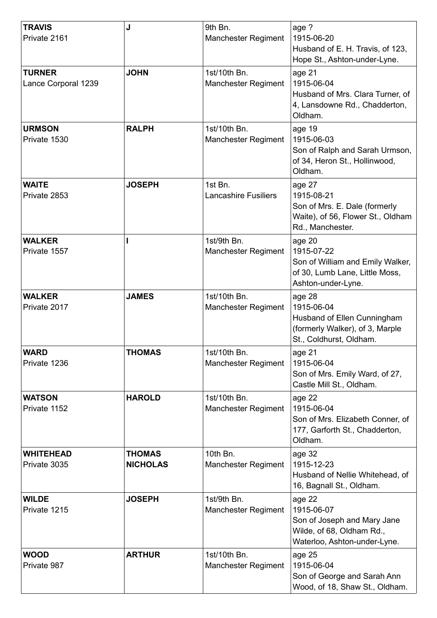| <b>TRAVIS</b><br>Private 2161        | J                                | 9th Bn.<br><b>Manchester Regiment</b>      | age ?<br>1915-06-20<br>Husband of E. H. Travis, of 123,<br>Hope St., Ashton-under-Lyne.                           |
|--------------------------------------|----------------------------------|--------------------------------------------|-------------------------------------------------------------------------------------------------------------------|
| <b>TURNER</b><br>Lance Corporal 1239 | <b>JOHN</b>                      | 1st/10th Bn.<br><b>Manchester Regiment</b> | age 21<br>1915-06-04<br>Husband of Mrs. Clara Turner, of<br>4, Lansdowne Rd., Chadderton,<br>Oldham.              |
| <b>URMSON</b><br>Private 1530        | <b>RALPH</b>                     | 1st/10th Bn.<br><b>Manchester Regiment</b> | age 19<br>1915-06-03<br>Son of Ralph and Sarah Urmson,<br>of 34, Heron St., Hollinwood,<br>Oldham.                |
| <b>WAITE</b><br>Private 2853         | <b>JOSEPH</b>                    | 1st Bn.<br><b>Lancashire Fusiliers</b>     | age 27<br>1915-08-21<br>Son of Mrs. E. Dale (formerly<br>Waite), of 56, Flower St., Oldham<br>Rd., Manchester.    |
| <b>WALKER</b><br>Private 1557        |                                  | 1st/9th Bn.<br><b>Manchester Regiment</b>  | age 20<br>1915-07-22<br>Son of William and Emily Walker,<br>of 30, Lumb Lane, Little Moss,<br>Ashton-under-Lyne.  |
| <b>WALKER</b><br>Private 2017        | <b>JAMES</b>                     | 1st/10th Bn.<br><b>Manchester Regiment</b> | age 28<br>1915-06-04<br>Husband of Ellen Cunningham<br>(formerly Walker), of 3, Marple<br>St., Coldhurst, Oldham. |
| <b>WARD</b><br>Private 1236          | THOMAS                           | 1st/10th Bn.<br><b>Manchester Regiment</b> | age 21<br>1915-06-04<br>Son of Mrs. Emily Ward, of 27,<br>Castle Mill St., Oldham.                                |
| <b>WATSON</b><br>Private 1152        | <b>HAROLD</b>                    | 1st/10th Bn.<br><b>Manchester Regiment</b> | age 22<br>1915-06-04<br>Son of Mrs. Elizabeth Conner, of<br>177, Garforth St., Chadderton,<br>Oldham.             |
| <b>WHITEHEAD</b><br>Private 3035     | <b>THOMAS</b><br><b>NICHOLAS</b> | 10th Bn.<br><b>Manchester Regiment</b>     | age 32<br>1915-12-23<br>Husband of Nellie Whitehead, of<br>16, Bagnall St., Oldham.                               |
| <b>WILDE</b><br>Private 1215         | <b>JOSEPH</b>                    | 1st/9th Bn.<br>Manchester Regiment         | age 22<br>1915-06-07<br>Son of Joseph and Mary Jane<br>Wilde, of 68, Oldham Rd.,<br>Waterloo, Ashton-under-Lyne.  |
| <b>WOOD</b><br>Private 987           | <b>ARTHUR</b>                    | 1st/10th Bn.<br><b>Manchester Regiment</b> | age 25<br>1915-06-04<br>Son of George and Sarah Ann<br>Wood, of 18, Shaw St., Oldham.                             |